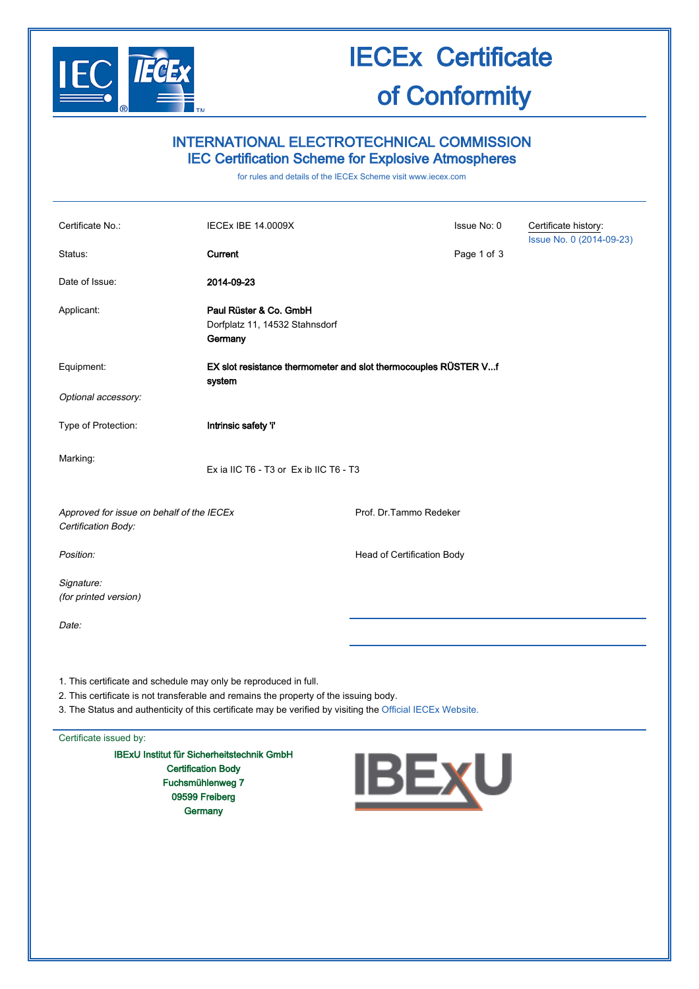

# IECEx Certificate

# of Conformity

### INTERNATIONAL ELECTROTECHNICAL COMMISSION IEC Certification Scheme for Explosive Atmospheres

for rules and details of the IECEx Scheme visit [www.iecex.com](http://www.iecex.com/)

| Certificate No.:<br>Status:                                      | <b>IECEX IBE 14.0009X</b><br>Current                                      |                            | Issue No: 0<br>Page 1 of 3 | Certificate history:<br>Issue No. 0 (2014-09-23) |
|------------------------------------------------------------------|---------------------------------------------------------------------------|----------------------------|----------------------------|--------------------------------------------------|
| Date of Issue:                                                   | 2014-09-23                                                                |                            |                            |                                                  |
| Applicant:                                                       | Paul Rüster & Co. GmbH<br>Dorfplatz 11, 14532 Stahnsdorf<br>Germany       |                            |                            |                                                  |
| Equipment:                                                       | EX slot resistance thermometer and slot thermocouples RÜSTER Vf<br>system |                            |                            |                                                  |
| Optional accessory:                                              |                                                                           |                            |                            |                                                  |
| Type of Protection:                                              | Intrinsic safety 'i'                                                      |                            |                            |                                                  |
| Marking:                                                         | Ex ia IIC T6 - T3 or Ex ib IIC T6 - T3                                    |                            |                            |                                                  |
| Approved for issue on behalf of the IECEx<br>Certification Body: |                                                                           | Prof. Dr. Tammo Redeker    |                            |                                                  |
| Position:                                                        |                                                                           | Head of Certification Body |                            |                                                  |
| Signature:<br>(for printed version)                              |                                                                           |                            |                            |                                                  |
| Date:                                                            |                                                                           |                            |                            |                                                  |
| 1. This certificate and schedule may only be reproduced in full. |                                                                           |                            |                            |                                                  |

2. This certificate is not transferable and remains the property of the issuing body.

3. The Status and authenticity of this certificate may be verified by visiting the [Official IECEx Website.](http://iecex.iec.ch/)

Certificate issued by:

IBExU Institut für Sicherheitstechnik GmbH Certification Body Fuchsmühlenweg 7 09599 Freiberg **Germany** 

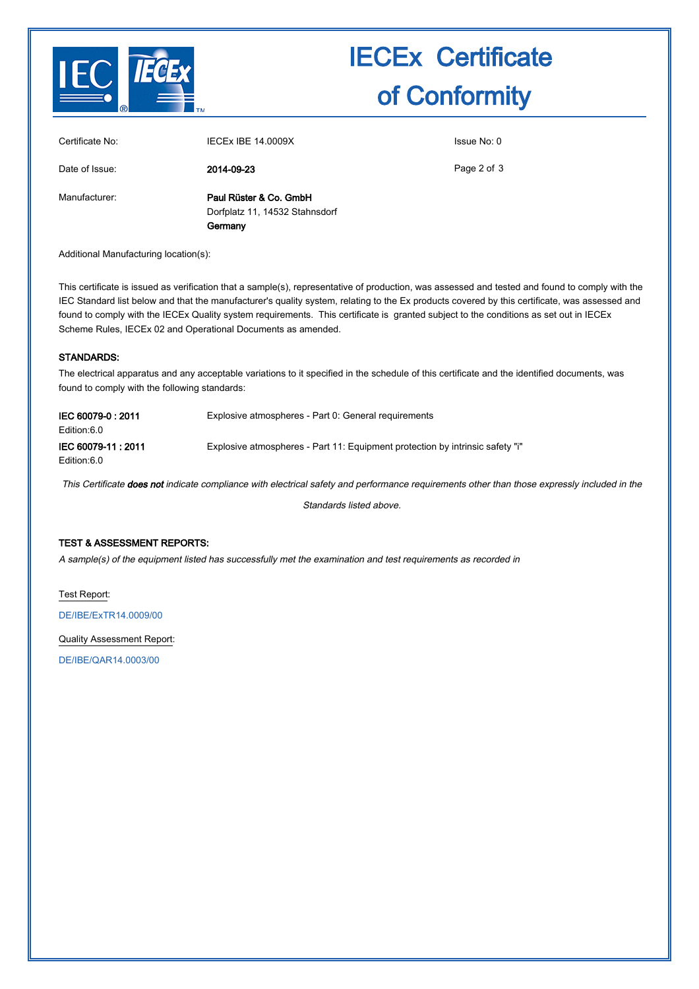

# IECEx Certificate of Conformity

| Certificate No: | <b>IECEX IBE 14.0009X</b>                                | Issue No: 0 |  |  |
|-----------------|----------------------------------------------------------|-------------|--|--|
| Date of Issue:  | 2014-09-23                                               | Page 2 of 3 |  |  |
| Manufacturer:   | Paul Rüster & Co. GmbH<br>Dorfplatz 11, 14532 Stahnsdorf |             |  |  |
|                 | Germany                                                  |             |  |  |

Additional Manufacturing location(s):

This certificate is issued as verification that a sample(s), representative of production, was assessed and tested and found to comply with the IEC Standard list below and that the manufacturer's quality system, relating to the Ex products covered by this certificate, was assessed and found to comply with the IECEx Quality system requirements. This certificate is granted subject to the conditions as set out in IECEx Scheme Rules, IECEx 02 and Operational Documents as amended.

### STANDARDS:

The electrical apparatus and any acceptable variations to it specified in the schedule of this certificate and the identified documents, was found to comply with the following standards:

| IEC 60079-0:2011  | Explosive atmospheres - Part 0: General requirements                          |
|-------------------|-------------------------------------------------------------------------------|
| Edition:6.0       |                                                                               |
| IEC 60079-11:2011 | Explosive atmospheres - Part 11: Equipment protection by intrinsic safety "i" |
| Edition:6.0       |                                                                               |

This Certificate does not indicate compliance with electrical safety and performance requirements other than those expressly included in the

Standards listed above.

### TEST & ASSESSMENT REPORTS:

A sample(s) of the equipment listed has successfully met the examination and test requirements as recorded in

Test Report:

[DE/IBE/ExTR14.0009/00](http://iecex.iec.ch/iecex/IECExWeb.nsf/ExTRNumber/DE/IBE/ExTR14.0009/00?OpenDocument)

Quality Assessment Report:

[DE/IBE/QAR14.0003/00](http://iecex.iec.ch/iecex/IECExWeb.nsf/QARNumber/DE/IBE/QAR14.0003/00?OpenDocument)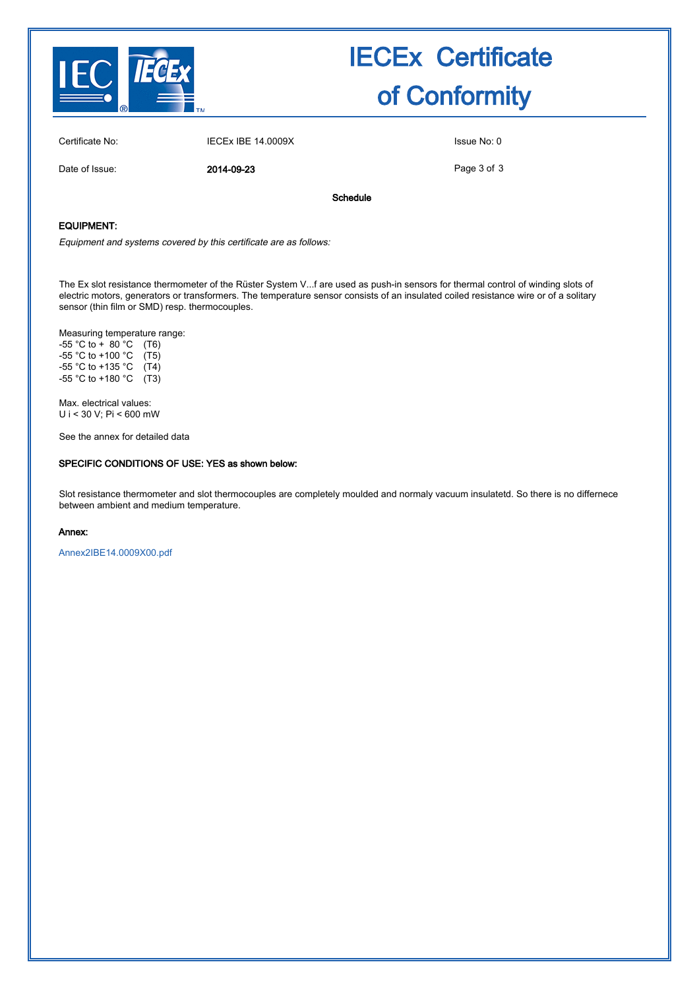

Date of Issue: 2014-09-23

## IECEx Certificate of Conformity

Certificate No: IECEX IBE 14.0009X ISSUE No: 0

Page 3 of 3

Schedule

#### EQUIPMENT:

Equipment and systems covered by this certificate are as follows:

The Ex slot resistance thermometer of the Rüster System V...f are used as push-in sensors for thermal control of winding slots of electric motors, generators or transformers. The temperature sensor consists of an insulated coiled resistance wire or of a solitary sensor (thin film or SMD) resp. thermocouples.

Measuring temperature range:

 $-55 °C$  to  $+ 80 °C$  (T6)  $-55$  °C to +100 °C (T5)  $-55$  °C to +135 °C (T4) -55 °C to +180 °C (T3)

Max. electrical values: U i < 30 V; Pi < 600 mW

See the annex for detailed data

#### SPECIFIC CONDITIONS OF USE: YES as shown below:

Slot resistance thermometer and slot thermocouples are completely moulded and normaly vacuum insulatetd. So there is no differnece between ambient and medium temperature.

#### Annex:

[Annex2IBE14.0009X00.pdf](http://iecex.iec.ch/iecex/IECExWeb.nsf/0/A773736BD323C3FDC1257C86004944EE/$File/Annex2IBE14.0009X00.pdf)